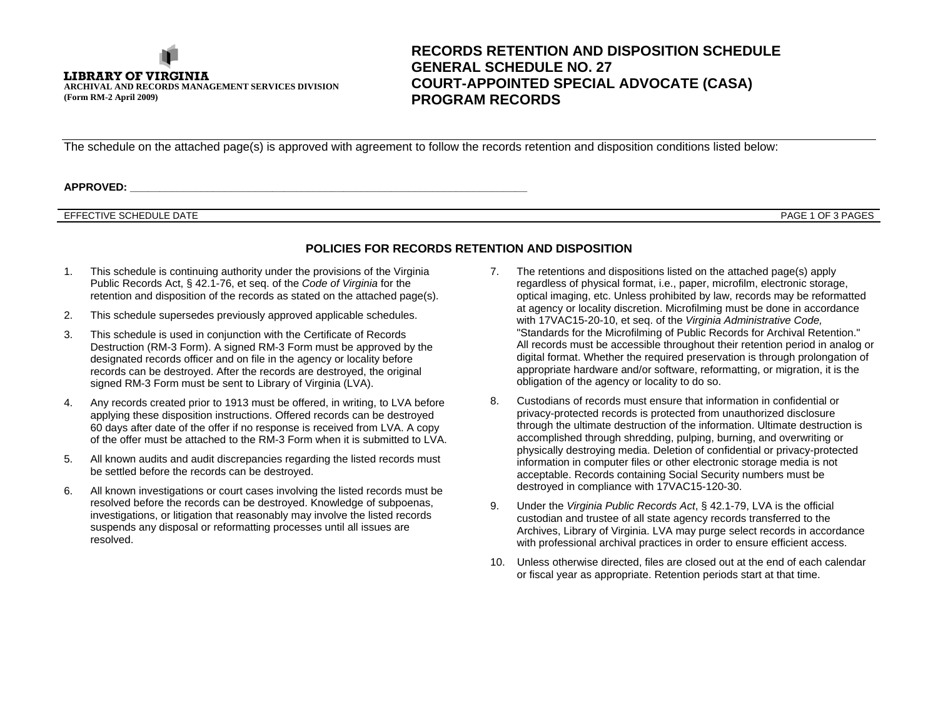

# **RECORDS RETENTION AND DISPOSITION SCHEDULE GENERAL SCHEDULE NO. 27 COURT-APPOINTED SPECIAL ADVOCATE (CASA) PROGRAM RECORDS**

The schedule on the attached page(s) is approved with agreement to follow the records retention and disposition conditions listed below:

**APPROVED: \_\_\_\_\_\_\_\_\_\_\_\_\_\_\_\_\_\_\_\_\_\_\_\_\_\_\_\_\_\_\_\_\_\_\_\_\_\_\_\_\_\_\_\_\_\_\_\_\_\_\_\_\_\_\_\_\_\_\_\_\_\_\_\_\_\_\_**

#### EFFECTIVE SCHEDULE DATE

PAGE 1 OF 3 PAGES

### **POLICIES FOR RECORDS RETENTION AND DISPOSITION**

- 1. This schedule is continuing authority under the provisions of the Virginia Public Records Act, § 42.1-76, et seq. of the *Code of Virginia* for the retention and disposition of the records as stated on the attached page(s).
- 2. This schedule supersedes previously approved applicable schedules.
- 3. This schedule is used in conjunction with the Certificate of Records Destruction (RM-3 Form). A signed RM-3 Form must be approved by the designated records officer and on file in the agency or locality before records can be destroyed. After the records are destroyed, the original signed RM-3 Form must be sent to Library of Virginia (LVA).
- 4. Any records created prior to 1913 must be offered, in writing, to LVA before applying these disposition instructions. Offered records can be destroyed 60 days after date of the offer if no response is received from LVA. A copy of the offer must be attached to the RM-3 Form when it is submitted to LVA.
- 5. All known audits and audit discrepancies regarding the listed records must be settled before the records can be destroyed.
- 6. All known investigations or court cases involving the listed records must be resolved before the records can be destroyed. Knowledge of subpoenas, investigations, or litigation that reasonably may involve the listed records suspends any disposal or reformatting processes until all issues are resolved.
- 7. The retentions and dispositions listed on the attached page(s) apply regardless of physical format, i.e., paper, microfilm, electronic storage, optical imaging, etc. Unless prohibited by law, records may be reformatted at agency or locality discretion. Microfilming must be done in accordance with 17VAC15-20-10, et seq. of the *Virginia Administrative Code,* "Standards for the Microfilming of Public Records for Archival Retention." All records must be accessible throughout their retention period in analog or digital format. Whether the required preservation is through prolongation of appropriate hardware and/or software, reformatting, or migration, it is the obligation of the agency or locality to do so.
- 8. Custodians of records must ensure that information in confidential or privacy-protected records is protected from unauthorized disclosure through the ultimate destruction of the information. Ultimate destruction is accomplished through shredding, pulping, burning, and overwriting or physically destroying media. Deletion of confidential or privacy-protected information in computer files or other electronic storage media is not acceptable. Records containing Social Security numbers must be destroyed in compliance with 17VAC15-120-30.
- 9. Under the *Virginia Public Records Act*, § 42.1-79, LVA is the official custodian and trustee of all state agency records transferred to the Archives, Library of Virginia. LVA may purge select records in accordance with professional archival practices in order to ensure efficient access.
- 10. Unless otherwise directed, files are closed out at the end of each calendar or fiscal year as appropriate. Retention periods start at that time.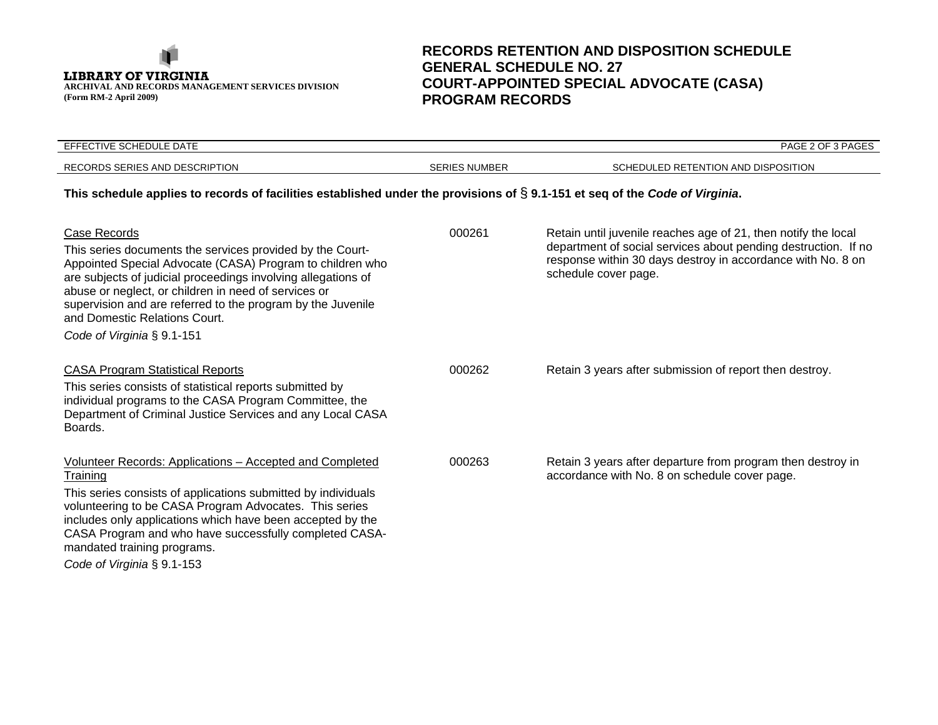**LIBRARY OF VIRGINIA ARCHIVAL AND RECORDS MANAGEMENT SERVICES DIVISION (Form RM-2 April 2009)**

# **RECORDS RETENTION AND DISPOSITION SCHEDULE GENERAL SCHEDULE NO. 27 COURT-APPOINTED SPECIAL ADVOCATE (CASA) PROGRAM RECORDS**

| EFFECTIVE SCHEDULE DATE                                                                                                                                                                                                                                                                                                                                                                       |                      | PAGE 2 OF 3 PAGES                                                                                                                                                                                                       |  |
|-----------------------------------------------------------------------------------------------------------------------------------------------------------------------------------------------------------------------------------------------------------------------------------------------------------------------------------------------------------------------------------------------|----------------------|-------------------------------------------------------------------------------------------------------------------------------------------------------------------------------------------------------------------------|--|
| RECORDS SERIES AND DESCRIPTION                                                                                                                                                                                                                                                                                                                                                                | <b>SERIES NUMBER</b> | SCHEDULED RETENTION AND DISPOSITION                                                                                                                                                                                     |  |
| This schedule applies to records of facilities established under the provisions of $\S$ 9.1-151 et seq of the Code of Virginia.                                                                                                                                                                                                                                                               |                      |                                                                                                                                                                                                                         |  |
| Case Records<br>This series documents the services provided by the Court-<br>Appointed Special Advocate (CASA) Program to children who<br>are subjects of judicial proceedings involving allegations of<br>abuse or neglect, or children in need of services or<br>supervision and are referred to the program by the Juvenile<br>and Domestic Relations Court.<br>Code of Virginia § 9.1-151 | 000261               | Retain until juvenile reaches age of 21, then notify the local<br>department of social services about pending destruction. If no<br>response within 30 days destroy in accordance with No. 8 on<br>schedule cover page. |  |
| <b>CASA Program Statistical Reports</b><br>This series consists of statistical reports submitted by<br>individual programs to the CASA Program Committee, the<br>Department of Criminal Justice Services and any Local CASA<br>Boards.                                                                                                                                                        | 000262               | Retain 3 years after submission of report then destroy.                                                                                                                                                                 |  |
| Volunteer Records: Applications - Accepted and Completed<br>Training<br>This series consists of applications submitted by individuals<br>volunteering to be CASA Program Advocates. This series<br>includes only applications which have been accepted by the<br>CASA Program and who have successfully completed CASA-<br>mandated training programs.<br>Code of Virginia § 9.1-153          | 000263               | Retain 3 years after departure from program then destroy in<br>accordance with No. 8 on schedule cover page.                                                                                                            |  |